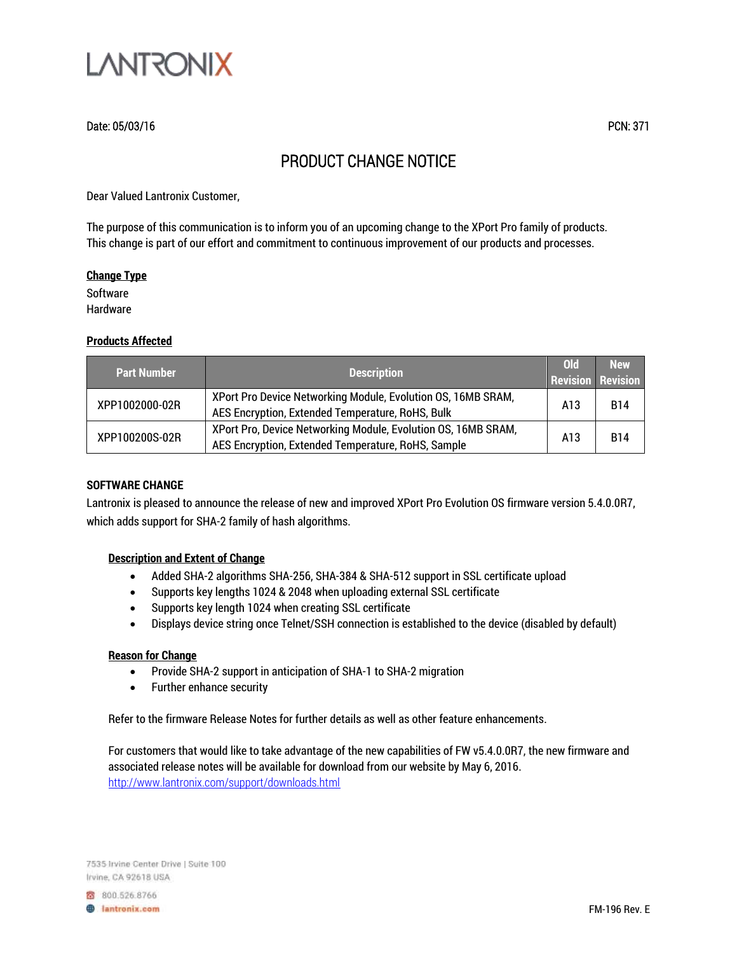

## Date: 05/03/16 PCN: 371

# PRODUCT CHANGE NOTICE

Dear Valued Lantronix Customer,

The purpose of this communication is to inform you of an upcoming change to the XPort Pro family of products. This change is part of our effort and commitment to continuous improvement of our products and processes.

#### **Change Type**

**Software** Hardware

#### **Products Affected**

| <b>Part Number</b> | <b>Description</b>                                                                                                  | <b>Old</b><br><b>Revision Revision</b> | <b>New</b> |
|--------------------|---------------------------------------------------------------------------------------------------------------------|----------------------------------------|------------|
| XPP1002000-02R     | XPort Pro Device Networking Module, Evolution OS, 16MB SRAM,<br>AES Encryption, Extended Temperature, RoHS, Bulk    | A13                                    | <b>B14</b> |
| XPP100200S-02R     | XPort Pro, Device Networking Module, Evolution OS, 16MB SRAM,<br>AES Encryption, Extended Temperature, RoHS, Sample | A13                                    | <b>R14</b> |

#### **SOFTWARE CHANGE**

Lantronix is pleased to announce the release of new and improved XPort Pro Evolution OS firmware version 5.4.0.0R7, which adds support for SHA-2 family of hash algorithms.

#### **Description and Extent of Change**

- Added SHA-2 algorithms SHA-256, SHA-384 & SHA-512 support in SSL certificate upload
- Supports key lengths 1024 & 2048 when uploading external SSL certificate
- Supports key length 1024 when creating SSL certificate
- Displays device string once Telnet/SSH connection is established to the device (disabled by default)

#### **Reason for Change**

- Provide SHA-2 support in anticipation of SHA-1 to SHA-2 migration
- Further enhance security

Refer to the firmware Release Notes for further details as well as other feature enhancements.

For customers that would like to take advantage of the new capabilities of FW v5.4.0.0R7, the new firmware and associated release notes will be available for download from our website by May 6, 2016. <http://www.lantronix.com/support/downloads.html>

7535 Irvine Center Drive | Suite 100 Irvine, CA 92618 USA

800.526.8766 **B** lantronix.com